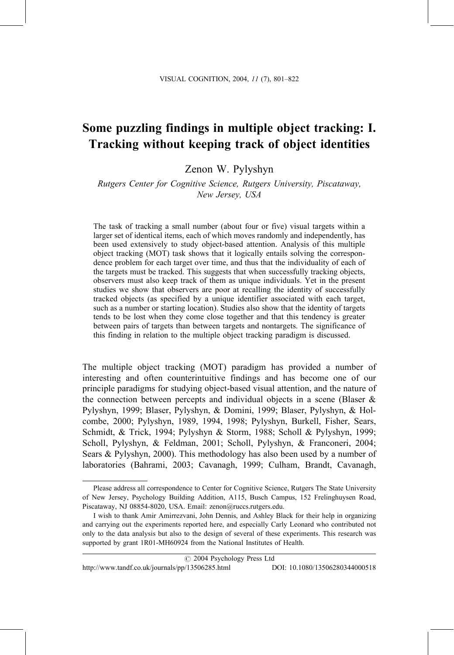# Some puzzling findings in multiple object tracking: I. Tracking without keeping track of object identities

# Zenon W. Pylyshyn

### Rutgers Center for Cognitive Science, Rutgers University, Piscataway, New Jersey, USA

The task of tracking a small number (about four or five) visual targets within a larger set of identical items, each of which moves randomly and independently, has been used extensively to study object-based attention. Analysis of this multiple object tracking (MOT) task shows that it logically entails solving the correspondence problem for each target over time, and thus that the individuality of each of the targets must be tracked. This suggests that when successfully tracking objects, observers must also keep track of them as unique individuals. Yet in the present studies we show that observers are poor at recalling the identity of successfully tracked objects (as specified by a unique identifier associated with each target, such as a number or starting location). Studies also show that the identity of targets tends to be lost when they come close together and that this tendency is greater between pairs of targets than between targets and nontargets. The significance of this finding in relation to the multiple object tracking paradigm is discussed.

The multiple object tracking (MOT) paradigm has provided a number of interesting and often counterintuitive findings and has become one of our principle paradigms for studying object-based visual attention, and the nature of the connection between percepts and individual objects in a scene (Blaser  $\&$ Pylyshyn, 1999; Blaser, Pylyshyn, & Domini, 1999; Blaser, Pylyshyn, & Holcombe, 2000; Pylyshyn, 1989, 1994, 1998; Pylyshyn, Burkell, Fisher, Sears, Schmidt, & Trick, 1994; Pylyshyn & Storm, 1988; Scholl & Pylyshyn, 1999; Scholl, Pylyshyn, & Feldman, 2001; Scholl, Pylyshyn, & Franconeri, 2004; Sears & Pylyshyn, 2000). This methodology has also been used by a number of laboratories (Bahrami, 2003; Cavanagh, 1999; Culham, Brandt, Cavanagh,

#### C 2004 Psychology Press Ltd

http://www.tandf.co.uk/journals/pp/13506285.html DOI: 10.1080/13506280344000518

Please address all correspondence to Center for Cognitive Science, Rutgers The State University of New Jersey, Psychology Building Addition, A115, Busch Campus, 152 Frelinghuysen Road, Piscataway, NJ 08854-8020, USA. Email: zenon@ruccs.rutgers.edu.

I wish to thank Amir Amirrezvani, John Dennis, and Ashley Black for their help in organizing and carrying out the experiments reported here, and especially Carly Leonard who contributed not only to the data analysis but also to the design of several of these experiments. This research was supported by grant 1R01-MH60924 from the National Institutes of Health.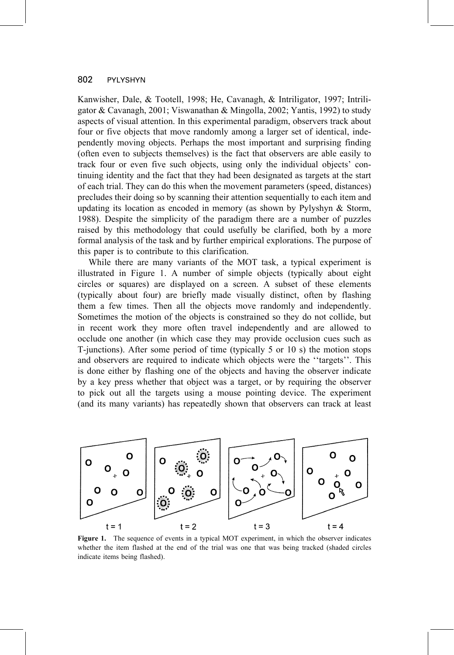Kanwisher, Dale, & Tootell, 1998; He, Cavanagh, & Intriligator, 1997; Intriligator & Cavanagh, 2001; Viswanathan & Mingolla, 2002; Yantis, 1992) to study aspects of visual attention. In this experimental paradigm, observers track about four or five objects that move randomly among a larger set of identical, independently moving objects. Perhaps the most important and surprising finding (often even to subjects themselves) is the fact that observers are able easily to track four or even five such objects, using only the individual objects' continuing identity and the fact that they had been designated as targets at the start of each trial. They can do this when the movement parameters (speed, distances) precludes their doing so by scanning their attention sequentially to each item and updating its location as encoded in memory (as shown by Pylyshyn  $\&$  Storm, 1988). Despite the simplicity of the paradigm there are a number of puzzles raised by this methodology that could usefully be clarified, both by a more formal analysis of the task and by further empirical explorations. The purpose of this paper is to contribute to this clarification.

While there are many variants of the MOT task, a typical experiment is illustrated in Figure 1. A number of simple objects (typically about eight circles or squares) are displayed on a screen. A subset of these elements (typically about four) are briefly made visually distinct, often by flashing them a few times. Then all the objects move randomly and independently. Sometimes the motion of the objects is constrained so they do not collide, but in recent work they more often travel independently and are allowed to occlude one another (in which case they may provide occlusion cues such as T-junctions). After some period of time (typically 5 or 10 s) the motion stops and observers are required to indicate which objects were the "targets". This is done either by flashing one of the objects and having the observer indicate by a key press whether that object was a target, or by requiring the observer to pick out all the targets using a mouse pointing device. The experiment (and its many variants) has repeatedly shown that observers can track at least



Figure 1. The sequence of events in a typical MOT experiment, in which the observer indicates whether the item flashed at the end of the trial was one that was being tracked (shaded circles indicate items being flashed).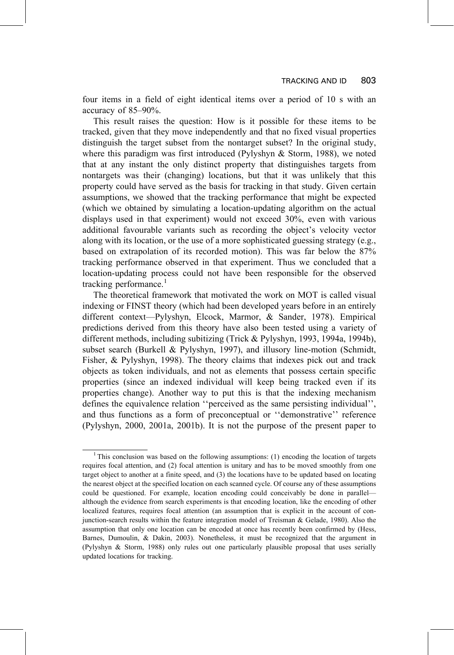four items in a field of eight identical items over a period of 10 s with an accuracy of 85-90%.

This result raises the question: How is it possible for these items to be tracked, given that they move independently and that no fixed visual properties distinguish the target subset from the nontarget subset? In the original study, where this paradigm was first introduced (Pylyshyn & Storm, 1988), we noted that at any instant the only distinct property that distinguishes targets from nontargets was their (changing) locations, but that it was unlikely that this property could have served as the basis for tracking in that study. Given certain assumptions, we showed that the tracking performance that might be expected (which we obtained by simulating a location-updating algorithm on the actual displays used in that experiment) would not exceed 30%, even with various additional favourable variants such as recording the object's velocity vector along with its location, or the use of a more sophisticated guessing strategy (e.g., based on extrapolation of its recorded motion). This was far below the 87% tracking performance observed in that experiment. Thus we concluded that a location-updating process could not have been responsible for the observed tracking performance.<sup>1</sup>

The theoretical framework that motivated the work on MOT is called visual indexing or FINST theory (which had been developed years before in an entirely different context-Pylyshyn, Elcock, Marmor, & Sander, 1978). Empirical predictions derived from this theory have also been tested using a variety of different methods, including subitizing (Trick & Pylyshyn, 1993, 1994a, 1994b), subset search (Burkell & Pylyshyn, 1997), and illusory line-motion (Schmidt, Fisher, & Pylyshyn, 1998). The theory claims that indexes pick out and track objects as token individuals, and not as elements that possess certain specific properties (since an indexed individual will keep being tracked even if its properties change). Another way to put this is that the indexing mechanism defines the equivalence relation "perceived as the same persisting individual", and thus functions as a form of preconceptual or "demonstrative" reference (Pylyshyn, 2000, 2001a, 2001b). It is not the purpose of the present paper to

<sup>&</sup>lt;sup>1</sup>This conclusion was based on the following assumptions: (1) encoding the location of targets requires focal attention, and (2) focal attention is unitary and has to be moved smoothly from one target object to another at a finite speed, and (3) the locations have to be updated based on locating the nearest object at the specified location on each scanned cycle. Of course any of these assumptions could be questioned. For example, location encoding could conceivably be done in parallel although the evidence from search experiments is that encoding location, like the encoding of other localized features, requires focal attention (an assumption that is explicit in the account of conjunction-search results within the feature integration model of Treisman & Gelade, 1980). Also the assumption that only one location can be encoded at once has recently been confirmed by (Hess, Barnes, Dumoulin, & Dakin, 2003). Nonetheless, it must be recognized that the argument in (Pylyshyn & Storm, 1988) only rules out one particularly plausible proposal that uses serially updated locations for tracking.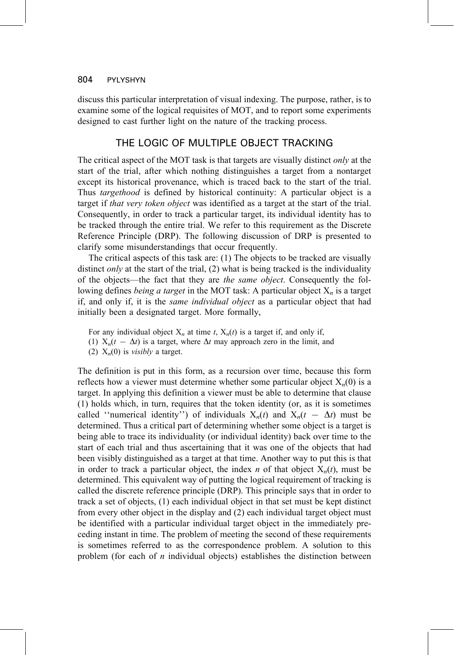discuss this particular interpretation of visual indexing. The purpose, rather, is to examine some of the logical requisites of MOT, and to report some experiments designed to cast further light on the nature of the tracking process.

### THE LOGIC OF MULTIPLE OBJECT TRACKING

The critical aspect of the MOT task is that targets are visually distinct *only* at the start of the trial, after which nothing distinguishes a target from a nontarget except its historical provenance, which is traced back to the start of the trial. Thus *targethood* is defined by historical continuity: A particular object is a target if that very token object was identified as a target at the start of the trial. Consequently, in order to track a particular target, its individual identity has to be tracked through the entire trial. We refer to this requirement as the Discrete Reference Principle (DRP). The following discussion of DRP is presented to clarify some misunderstandings that occur frequently.

The critical aspects of this task are: (1) The objects to be tracked are visually distinct *only* at the start of the trial,  $(2)$  what is being tracked is the individuality of the objects—the fact that they are the same object. Consequently the following defines *being a target* in the MOT task: A particular object  $X_n$  is a target if, and only if, it is the *same individual object* as a particular object that had initially been a designated target. More formally,

For any individual object  $X_n$  at time t,  $X_n(t)$  is a target if, and only if,

- (1)  $X_n(t \Delta t)$  is a target, where  $\Delta t$  may approach zero in the limit, and
- (2)  $X_n(0)$  is *visibly* a target.

The definition is put in this form, as a recursion over time, because this form reflects how a viewer must determine whether some particular object  $X_n(0)$  is a target. In applying this definition a viewer must be able to determine that clause (1) holds which, in turn, requires that the token identity (or, as it is sometimes called "numerical identity") of individuals  $X_n(t)$  and  $X_n(t - \Delta t)$  must be determined. Thus a critical part of determining whether some object is a target is being able to trace its individuality (or individual identity) back over time to the start of each trial and thus ascertaining that it was one of the objects that had been visibly distinguished as a target at that time. Another way to put this is that in order to track a particular object, the index *n* of that object  $X_n(t)$ , must be determined. This equivalent way of putting the logical requirement of tracking is called the discrete reference principle (DRP). This principle says that in order to track a set of objects, (1) each individual object in that set must be kept distinct from every other object in the display and (2) each individual target object must be identified with a particular individual target object in the immediately preceding instant in time. The problem of meeting the second of these requirements is sometimes referred to as the correspondence problem. A solution to this problem (for each of  $n$  individual objects) establishes the distinction between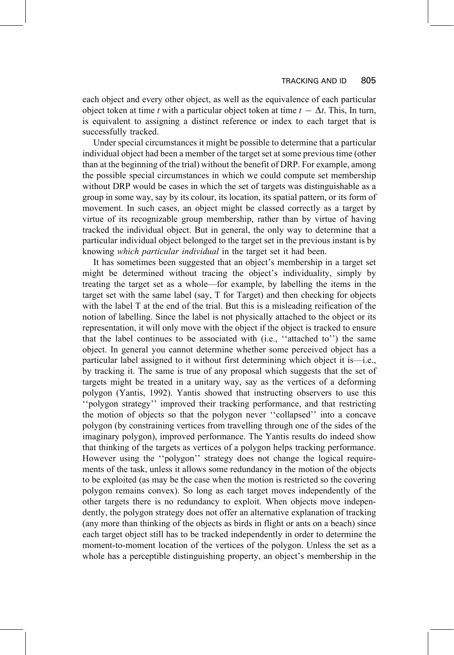each object and every other object, as well as the equivalence of each particular object token at time t with a particular object token at time  $t - \Delta t$ . This, In turn, is equivalent to assigning a distinct reference or index to each target that is successfully tracked.

Under special circumstances it might be possible to determine that a particular individual object had been a member of the target set at some previous time (other than at the beginning of the trial) without the benefit of DRP. For example, among the possible special circumstances in which we could compute set membership without DRP would be cases in which the set of targets was distinguishable as a group in some way, say by its colour, its location, its spatial pattern, or its form of movement. In such cases, an object might be classed correctly as a target by virtue of its recognizable group membership, rather than by virtue of having tracked the individual object. But in general, the only way to determine that a particular individual object belonged to the target set in the previous instant is by knowing which particular individual in the target set it had been.

It has sometimes been suggested that an object's membership in a target set might be determined without tracing the object's individuality, simply by treating the target set as a whole—for example, by labelling the items in the target set with the same label (say, T for Target) and then checking for objects with the label T at the end of the trial. But this is a misleading reification of the notion of labelling. Since the label is not physically attached to the object or its representation, it will only move with the object if the object is tracked to ensure that the label continues to be associated with (i.e., "attached to") the same object. In general you cannot determine whether some perceived object has a particular label assigned to it without first determining which object it is—i.e., by tracking it. The same is true of any proposal which suggests that the set of targets might be treated in a unitary way, say as the vertices of a deforming polygon (Yantis, 1992). Yantis showed that instructing observers to use this "polygon strategy" improved their tracking performance, and that restricting the motion of objects so that the polygon never "collapsed" into a concave polygon (by constraining vertices from travelling through one of the sides of the imaginary polygon), improved performance. The Yantis results do indeed show that thinking of the targets as vertices of a polygon helps tracking performance. However using the "polygon" strategy does not change the logical requirements of the task, unless it allows some redundancy in the motion of the objects to be exploited (as may be the case when the motion is restricted so the covering polygon remains convex). So long as each target moves independently of the other targets there is no redundancy to exploit. When objects move independently, the polygon strategy does not offer an alternative explanation of tracking (any more than thinking of the objects as birds in flight or ants on a beach) since each target object still has to be tracked independently in order to determine the moment-to-moment location of the vertices of the polygon. Unless the set as a whole has a perceptible distinguishing property, an object's membership in the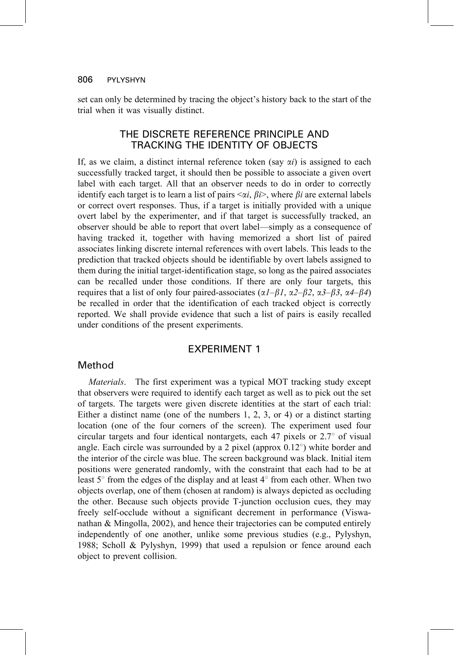set can only be determined by tracing the object's history back to the start of the trial when it was visually distinct.

# THE DISCRETE REFERENCE PRINCIPLE AND TRACKING THE IDENTITY OF OBJECTS

If, as we claim, a distinct internal reference token (say  $\alpha i$ ) is assigned to each successfully tracked target, it should then be possible to associate a given overt label with each target. All that an observer needs to do in order to correctly identify each target is to learn a list of pairs  $\langle \alpha i, \beta i \rangle$ , where  $\beta i$  are external labels or correct overt responses. Thus, if a target is initially provided with a unique overt label by the experimenter, and if that target is successfully tracked, an observer should be able to report that overt label—simply as a consequence of having tracked it, together with having memorized a short list of paired associates linking discrete internal references with overt labels. This leads to the prediction that tracked objects should be identifiable by overt labels assigned to them during the initial target-identification stage, so long as the paired associates can be recalled under those conditions. If there are only four targets, this requires that a list of only four paired-associates  $(\alpha I - \beta I, \alpha 2 - \beta 2, \alpha 3 - \beta 3, \alpha 4 - \beta 4)$ be recalled in order that the identification of each tracked object is correctly reported. We shall provide evidence that such a list of pairs is easily recalled under conditions of the present experiments.

### **EXPERIMENT 1**

#### Method

*Materials.* The first experiment was a typical MOT tracking study except that observers were required to identify each target as well as to pick out the set of targets. The targets were given discrete identities at the start of each trial: Either a distinct name (one of the numbers  $1, 2, 3$ , or  $4$ ) or a distinct starting location (one of the four corners of the screen). The experiment used four circular targets and four identical nontargets, each 47 pixels or  $2.7^{\circ}$  of visual angle. Each circle was surrounded by a 2 pixel (approx  $0.12^{\circ}$ ) white border and the interior of the circle was blue. The screen background was black. Initial item positions were generated randomly, with the constraint that each had to be at least  $5^{\circ}$  from the edges of the display and at least  $4^{\circ}$  from each other. When two objects overlap, one of them (chosen at random) is always depicted as occluding the other. Because such objects provide T-junction occlusion cues, they may freely self-occlude without a significant decrement in performance (Viswanathan & Mingolla, 2002), and hence their trajectories can be computed entirely independently of one another, unlike some previous studies (e.g., Pylyshyn, 1988; Scholl & Pylyshyn, 1999) that used a repulsion or fence around each object to prevent collision.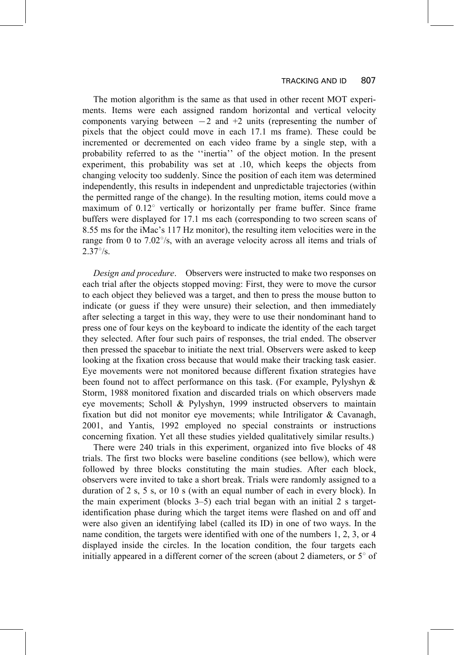The motion algorithm is the same as that used in other recent MOT experiments. Items were each assigned random horizontal and vertical velocity components varying between  $-2$  and  $+2$  units (representing the number of pixels that the object could move in each 17.1 ms frame). These could be incremented or decremented on each video frame by a single step, with a probability referred to as the "inertia" of the object motion. In the present experiment, this probability was set at .10, which keeps the objects from changing velocity too suddenly. Since the position of each item was determined independently, this results in independent and unpredictable trajectories (within the permitted range of the change). In the resulting motion, items could move a maximum of  $0.12^{\circ}$  vertically or horizontally per frame buffer. Since frame buffers were displayed for 17.1 ms each (corresponding to two screen scans of 8.55 ms for the iMac's 117 Hz monitor), the resulting item velocities were in the range from 0 to 7.02 $\degree$ /s, with an average velocity across all items and trials of  $2.37^{\circ}/s$ .

Design and procedure. Observers were instructed to make two responses on each trial after the objects stopped moving: First, they were to move the cursor to each object they believed was a target, and then to press the mouse button to indicate (or guess if they were unsure) their selection, and then immediately after selecting a target in this way, they were to use their nondominant hand to press one of four keys on the keyboard to indicate the identity of the each target they selected. After four such pairs of responses, the trial ended. The observer then pressed the spacebar to initiate the next trial. Observers were asked to keep looking at the fixation cross because that would make their tracking task easier. Eye movements were not monitored because different fixation strategies have been found not to affect performance on this task. (For example, Pylyshyn  $\&$ Storm, 1988 monitored fixation and discarded trials on which observers made eye movements; Scholl & Pylyshyn, 1999 instructed observers to maintain fixation but did not monitor eye movements; while Intriligator & Cavanagh, 2001, and Yantis, 1992 employed no special constraints or instructions concerning fixation. Yet all these studies yielded qualitatively similar results.)

There were 240 trials in this experiment, organized into five blocks of 48 trials. The first two blocks were baseline conditions (see bellow), which were followed by three blocks constituting the main studies. After each block, observers were invited to take a short break. Trials were randomly assigned to a duration of 2 s, 5 s, or 10 s (with an equal number of each in every block). In the main experiment (blocks  $3-5$ ) each trial began with an initial 2 s targetidentification phase during which the target items were flashed on and off and were also given an identifying label (called its ID) in one of two ways. In the name condition, the targets were identified with one of the numbers 1, 2, 3, or 4 displayed inside the circles. In the location condition, the four targets each initially appeared in a different corner of the screen (about 2 diameters, or  $5^{\circ}$  of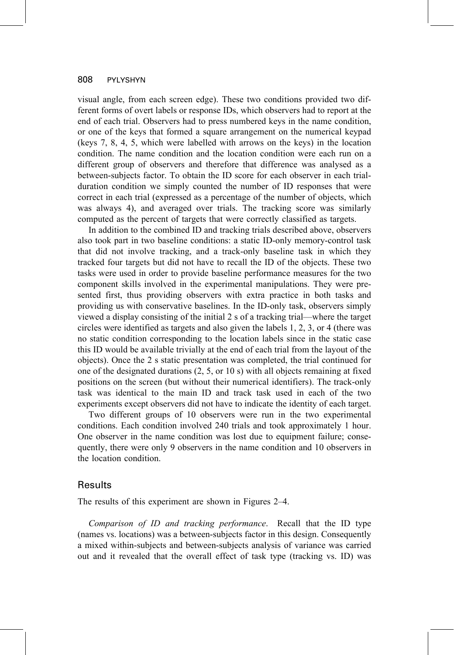visual angle, from each screen edge). These two conditions provided two different forms of overt labels or response IDs, which observers had to report at the end of each trial. Observers had to press numbered keys in the name condition, or one of the keys that formed a square arrangement on the numerical keypad (keys 7, 8, 4, 5, which were labelled with arrows on the keys) in the location condition. The name condition and the location condition were each run on a different group of observers and therefore that difference was analysed as a between-subjects factor. To obtain the ID score for each observer in each trialduration condition we simply counted the number of ID responses that were correct in each trial (expressed as a percentage of the number of objects, which was always 4), and averaged over trials. The tracking score was similarly computed as the percent of targets that were correctly classified as targets.

In addition to the combined ID and tracking trials described above, observers also took part in two baseline conditions: a static ID-only memory-control task that did not involve tracking, and a track-only baseline task in which they tracked four targets but did not have to recall the ID of the objects. These two tasks were used in order to provide baseline performance measures for the two component skills involved in the experimental manipulations. They were presented first, thus providing observers with extra practice in both tasks and providing us with conservative baselines. In the ID-only task, observers simply viewed a display consisting of the initial 2 s of a tracking trial—where the target circles were identified as targets and also given the labels  $1, 2, 3$ , or 4 (there was no static condition corresponding to the location labels since in the static case this ID would be available trivially at the end of each trial from the layout of the objects). Once the 2 s static presentation was completed, the trial continued for one of the designated durations  $(2, 5, or 10 s)$  with all objects remaining at fixed positions on the screen (but without their numerical identifiers). The track-only task was identical to the main ID and track task used in each of the two experiments except observers did not have to indicate the identity of each target.

Two different groups of 10 observers were run in the two experimental conditions. Each condition involved 240 trials and took approximately 1 hour. One observer in the name condition was lost due to equipment failure; consequently, there were only 9 observers in the name condition and 10 observers in the location condition.

### **Results**

The results of this experiment are shown in Figures 2–4.

Comparison of ID and tracking performance. Recall that the ID type (names vs. locations) was a between-subjects factor in this design. Consequently a mixed within-subjects and between-subjects analysis of variance was carried out and it revealed that the overall effect of task type (tracking vs. ID) was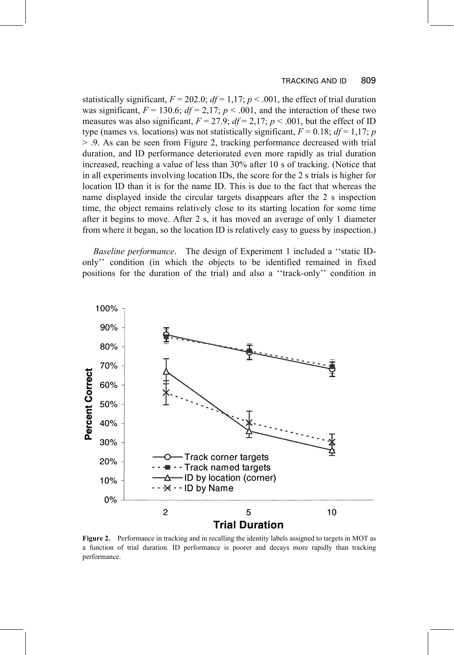statistically significant,  $F = 202.0$ ;  $df = 1.17$ ;  $p < .001$ , the effect of trial duration was significant,  $F = 130.6$ ;  $df = 2,17$ ;  $p < .001$ , and the interaction of these two measures was also significant,  $F = 27.9$ ;  $df = 2,17$ ;  $p < .001$ , but the effect of ID type (names vs. locations) was not statistically significant,  $F = 0.18$ ;  $df = 1.17$ ; p > .9. As can be seen from Figure 2, tracking performance decreased with trial duration, and ID performance deteriorated even more rapidly as trial duration increased, reaching a value of less than 30% after 10 s of tracking. (Notice that in all experiments involving location IDs, the score for the 2 s trials is higher for location ID than it is for the name ID. This is due to the fact that whereas the name displayed inside the circular targets disappears after the 2 s inspection time, the object remains relatively close to its starting location for some time after it begins to move. After 2 s, it has moved an average of only 1 diameter from where it began, so the location ID is relatively easy to guess by inspection.)

*Baseline performance.* The design of Experiment 1 included a "static IDonly" condition (in which the objects to be identified remained in fixed positions for the duration of the trial) and also a "track-only" condition in



Figure 2. Performance in tracking and in recalling the identity labels assigned to targets in MOT as a function of trial duration. ID performance is poorer and decays more rapidly than tracking performance.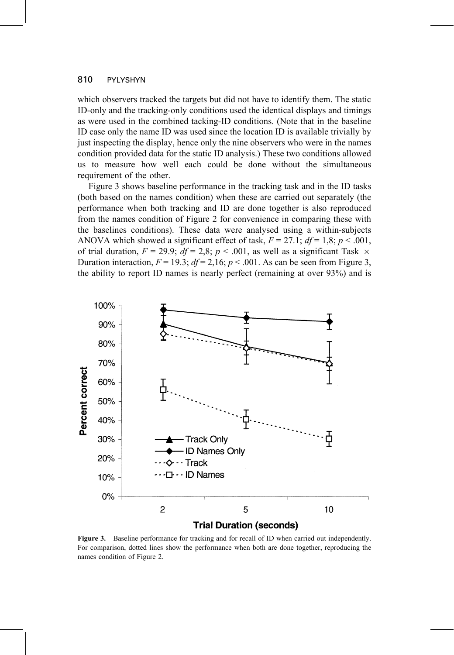which observers tracked the targets but did not have to identify them. The static ID-only and the tracking-only conditions used the identical displays and timings as were used in the combined tacking-ID conditions. (Note that in the baseline ID case only the name ID was used since the location ID is available trivially by just inspecting the display, hence only the nine observers who were in the names condition provided data for the static ID analysis.) These two conditions allowed us to measure how well each could be done without the simultaneous requirement of the other.

Figure 3 shows baseline performance in the tracking task and in the ID tasks (both based on the names condition) when these are carried out separately (the performance when both tracking and ID are done together is also reproduced from the names condition of Figure 2 for convenience in comparing these with the baselines conditions). These data were analysed using a within-subjects ANOVA which showed a significant effect of task,  $F = 27.1$ ;  $df = 1.8$ ;  $p < .001$ , of trial duration,  $F = 29.9$ ;  $df = 2.8$ ;  $p < .001$ , as well as a significant Task  $\times$ Duration interaction,  $F = 19.3$ ;  $df = 2.16$ ;  $p < .001$ . As can be seen from Figure 3, the ability to report ID names is nearly perfect (remaining at over 93%) and is



Figure 3. Baseline performance for tracking and for recall of ID when carried out independently. For comparison, dotted lines show the performance when both are done together, reproducing the names condition of Figure 2.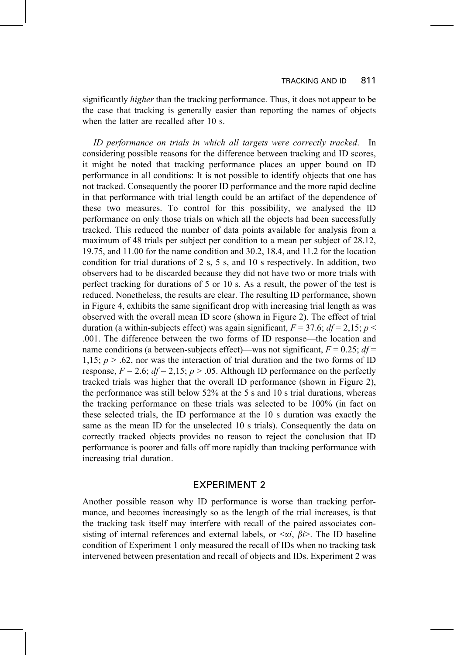significantly *higher* than the tracking performance. Thus, it does not appear to be the case that tracking is generally easier than reporting the names of objects when the latter are recalled after 10 s.

ID performance on trials in which all targets were correctly tracked. In considering possible reasons for the difference between tracking and ID scores, it might be noted that tracking performance places an upper bound on ID performance in all conditions: It is not possible to identify objects that one has not tracked. Consequently the poorer ID performance and the more rapid decline in that performance with trial length could be an artifact of the dependence of these two measures. To control for this possibility, we analysed the ID performance on only those trials on which all the objects had been successfully tracked. This reduced the number of data points available for analysis from a maximum of 48 trials per subject per condition to a mean per subject of 28.12, 19.75, and 11.00 for the name condition and 30.2, 18.4, and 11.2 for the location condition for trial durations of 2 s, 5 s, and 10 s respectively. In addition, two observers had to be discarded because they did not have two or more trials with perfect tracking for durations of 5 or 10 s. As a result, the power of the test is reduced. Nonetheless, the results are clear. The resulting ID performance, shown in Figure 4, exhibits the same significant drop with increasing trial length as was observed with the overall mean ID score (shown in Figure 2). The effect of trial duration (a within-subjects effect) was again significant,  $F = 37.6$ ;  $df = 2.15$ ;  $p <$ .001. The difference between the two forms of ID response—the location and name conditions (a between-subjects effect)—was not significant,  $F = 0.25$ ;  $df =$ 1,15;  $p > .62$ , nor was the interaction of trial duration and the two forms of ID response,  $F = 2.6$ ;  $df = 2.15$ ;  $p > .05$ . Although ID performance on the perfectly tracked trials was higher that the overall ID performance (shown in Figure 2), the performance was still below 52% at the 5 s and 10 s trial durations, whereas the tracking performance on these trials was selected to be 100% (in fact on these selected trials, the ID performance at the 10 s duration was exactly the same as the mean ID for the unselected 10 s trials). Consequently the data on correctly tracked objects provides no reason to reject the conclusion that ID performance is poorer and falls off more rapidly than tracking performance with increasing trial duration.

# **EXPERIMENT 2**

Another possible reason why ID performance is worse than tracking performance, and becomes increasingly so as the length of the trial increases, is that the tracking task itself may interfere with recall of the paired associates consisting of internal references and external labels, or  $\langle \alpha i, \beta i \rangle$ . The ID baseline condition of Experiment 1 only measured the recall of IDs when no tracking task intervened between presentation and recall of objects and IDs. Experiment 2 was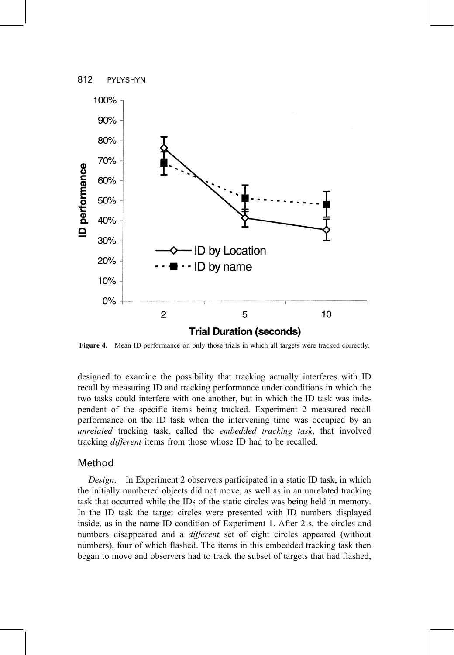

Figure 4. Mean ID performance on only those trials in which all targets were tracked correctly.

designed to examine the possibility that tracking actually interferes with ID recall by measuring ID and tracking performance under conditions in which the two tasks could interfere with one another, but in which the ID task was independent of the specific items being tracked. Experiment 2 measured recall performance on the ID task when the intervening time was occupied by an unrelated tracking task, called the embedded tracking task, that involved tracking *different* items from those whose ID had to be recalled.

### Method

Design. In Experiment 2 observers participated in a static ID task, in which the initially numbered objects did not move, as well as in an unrelated tracking task that occurred while the IDs of the static circles was being held in memory. In the ID task the target circles were presented with ID numbers displayed inside, as in the name ID condition of Experiment 1. After 2 s, the circles and numbers disappeared and a *different* set of eight circles appeared (without numbers), four of which flashed. The items in this embedded tracking task then began to move and observers had to track the subset of targets that had flashed,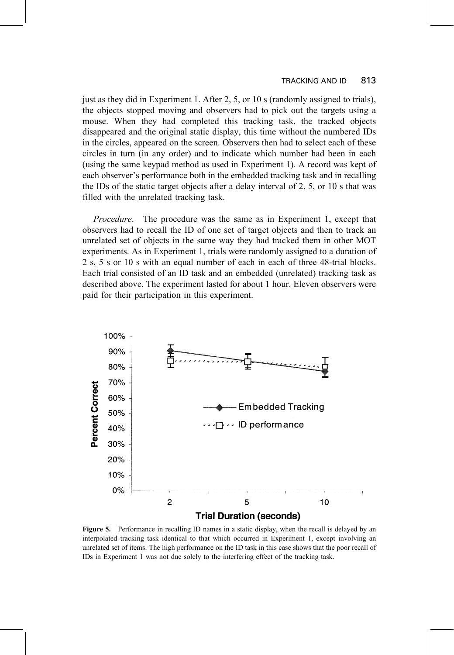#### **TRACKING AND ID** 813

just as they did in Experiment 1. After 2, 5, or 10 s (randomly assigned to trials), the objects stopped moving and observers had to pick out the targets using a mouse. When they had completed this tracking task, the tracked objects disappeared and the original static display, this time without the numbered IDs in the circles, appeared on the screen. Observers then had to select each of these circles in turn (in any order) and to indicate which number had been in each (using the same keypad method as used in Experiment 1). A record was kept of each observer's performance both in the embedded tracking task and in recalling the IDs of the static target objects after a delay interval of 2, 5, or 10 s that was filled with the unrelated tracking task.

*Procedure.* The procedure was the same as in Experiment 1, except that observers had to recall the ID of one set of target objects and then to track an unrelated set of objects in the same way they had tracked them in other MOT experiments. As in Experiment 1, trials were randomly assigned to a duration of 2 s, 5 s or 10 s with an equal number of each in each of three 48-trial blocks. Each trial consisted of an ID task and an embedded (unrelated) tracking task as described above. The experiment lasted for about 1 hour. Eleven observers were paid for their participation in this experiment.



Figure 5. Performance in recalling ID names in a static display, when the recall is delayed by an interpolated tracking task identical to that which occurred in Experiment 1, except involving an unrelated set of items. The high performance on the ID task in this case shows that the poor recall of IDs in Experiment 1 was not due solely to the interfering effect of the tracking task.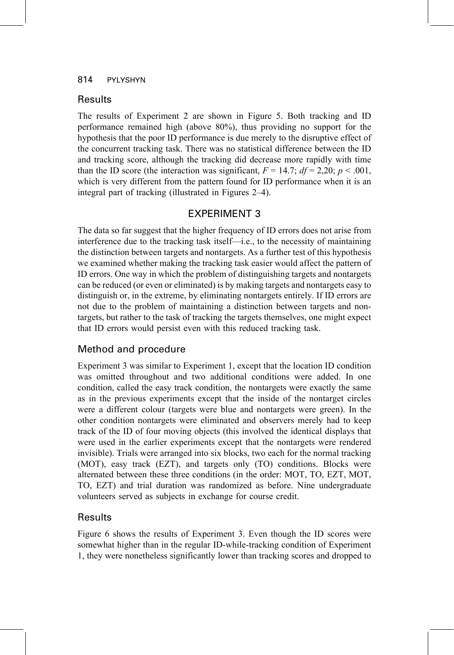### Results

The results of Experiment 2 are shown in Figure 5. Both tracking and ID performance remained high (above 80%), thus providing no support for the hypothesis that the poor ID performance is due merely to the disruptive effect of the concurrent tracking task. There was no statistical difference between the ID and tracking score, although the tracking did decrease more rapidly with time than the ID score (the interaction was significant,  $F = 14.7$ ;  $df = 2.20$ ;  $p < .001$ , which is very different from the pattern found for ID performance when it is an integral part of tracking (illustrated in Figures 2–4).

# **EXPERIMENT 3**

The data so far suggest that the higher frequency of ID errors does not arise from interference due to the tracking task itself—i.e., to the necessity of maintaining the distinction between targets and nontargets. As a further test of this hypothesis we examined whether making the tracking task easier would affect the pattern of ID errors. One way in which the problem of distinguishing targets and nontargets can be reduced (or even or eliminated) is by making targets and nontargets easy to distinguish or, in the extreme, by eliminating nontargets entirely. If ID errors are not due to the problem of maintaining a distinction between targets and nontargets, but rather to the task of tracking the targets themselves, one might expect that ID errors would persist even with this reduced tracking task.

#### Method and procedure

Experiment 3 was similar to Experiment 1, except that the location ID condition was omitted throughout and two additional conditions were added. In one condition, called the easy track condition, the nontargets were exactly the same as in the previous experiments except that the inside of the nontarget circles were a different colour (targets were blue and nontargets were green). In the other condition nontargets were eliminated and observers merely had to keep track of the ID of four moving objects (this involved the identical displays that were used in the earlier experiments except that the nontargets were rendered invisible). Trials were arranged into six blocks, two each for the normal tracking (MOT), easy track (EZT), and targets only (TO) conditions. Blocks were alternated between these three conditions (in the order: MOT, TO, EZT, MOT, TO, EZT) and trial duration was randomized as before. Nine undergraduate volunteers served as subjects in exchange for course credit.

# Results

Figure 6 shows the results of Experiment 3. Even though the ID scores were somewhat higher than in the regular ID-while-tracking condition of Experiment 1, they were nonetheless significantly lower than tracking scores and dropped to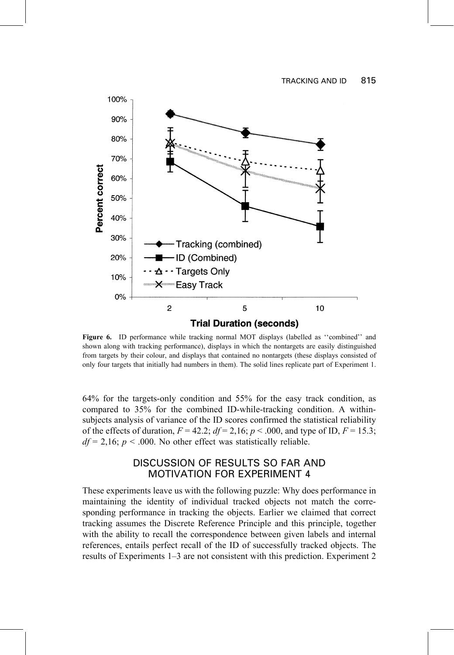

Figure 6. ID performance while tracking normal MOT displays (labelled as "combined" and shown along with tracking performance), displays in which the nontargets are easily distinguished from targets by their colour, and displays that contained no nontargets (these displays consisted of only four targets that initially had numbers in them). The solid lines replicate part of Experiment 1.

 $64\%$  for the targets-only condition and 55% for the easy track condition, as compared to 35% for the combined ID-while-tracking condition. A withinsubjects analysis of variance of the ID scores confirmed the statistical reliability of the effects of duration,  $F = 42.2$ ;  $df = 2.16$ ;  $p < .000$ , and type of ID,  $F = 15.3$ ;  $df = 2.16$ ;  $p < .000$ . No other effect was statistically reliable.

### DISCUSSION OF RESULTS SO FAR AND **MOTIVATION FOR EXPERIMENT 4**

These experiments leave us with the following puzzle: Why does performance in maintaining the identity of individual tracked objects not match the corresponding performance in tracking the objects. Earlier we claimed that correct tracking assumes the Discrete Reference Principle and this principle, together with the ability to recall the correspondence between given labels and internal references, entails perfect recall of the ID of successfully tracked objects. The results of Experiments  $1-3$  are not consistent with this prediction. Experiment 2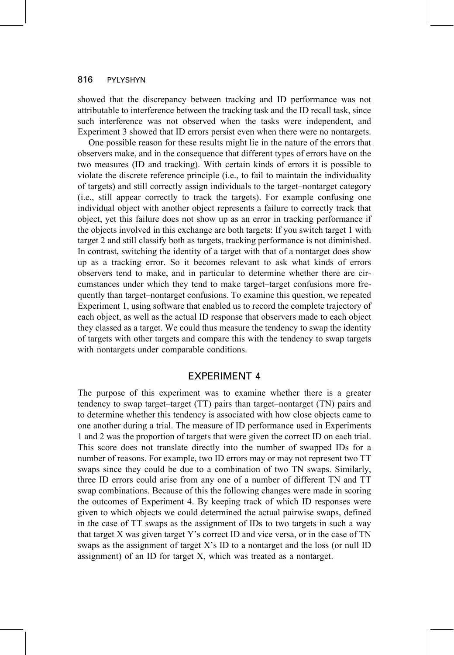showed that the discrepancy between tracking and ID performance was not attributable to interference between the tracking task and the ID recall task, since such interference was not observed when the tasks were independent, and Experiment 3 showed that ID errors persist even when there were no nontargets.

One possible reason for these results might lie in the nature of the errors that observers make, and in the consequence that different types of errors have on the two measures (ID and tracking). With certain kinds of errors it is possible to violate the discrete reference principle (i.e., to fail to maintain the individuality of targets) and still correctly assign individuals to the target-nontarget category (i.e., still appear correctly to track the targets). For example confusing one individual object with another object represents a failure to correctly track that object, yet this failure does not show up as an error in tracking performance if the objects involved in this exchange are both targets: If you switch target 1 with target 2 and still classify both as targets, tracking performance is not diminished. In contrast, switching the identity of a target with that of a nontarget does show up as a tracking error. So it becomes relevant to ask what kinds of errors observers tend to make, and in particular to determine whether there are circumstances under which they tend to make target-target confusions more frequently than target-nontarget confusions. To examine this question, we repeated Experiment 1, using software that enabled us to record the complete trajectory of each object, as well as the actual ID response that observers made to each object they classed as a target. We could thus measure the tendency to swap the identity of targets with other targets and compare this with the tendency to swap targets with nontargets under comparable conditions.

# **EXPERIMENT 4**

The purpose of this experiment was to examine whether there is a greater tendency to swap target-target (TT) pairs than target-nontarget (TN) pairs and to determine whether this tendency is associated with how close objects came to one another during a trial. The measure of ID performance used in Experiments 1 and 2 was the proportion of targets that were given the correct ID on each trial. This score does not translate directly into the number of swapped IDs for a number of reasons. For example, two ID errors may or may not represent two TT swaps since they could be due to a combination of two TN swaps. Similarly, three ID errors could arise from any one of a number of different TN and TT swap combinations. Because of this the following changes were made in scoring the outcomes of Experiment 4. By keeping track of which ID responses were given to which objects we could determined the actual pairwise swaps, defined in the case of TT swaps as the assignment of IDs to two targets in such a way that target X was given target Y's correct ID and vice versa, or in the case of TN swaps as the assignment of target  $X$ 's ID to a nontarget and the loss (or null ID assignment) of an ID for target X, which was treated as a nontarget.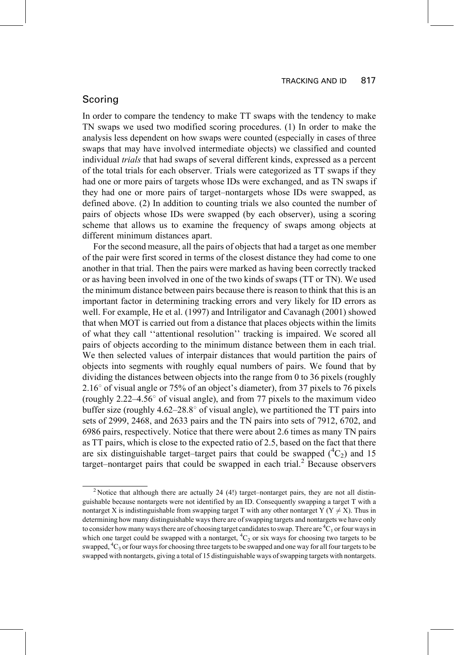# Scoring

In order to compare the tendency to make TT swaps with the tendency to make TN swaps we used two modified scoring procedures. (1) In order to make the analysis less dependent on how swaps were counted (especially in cases of three swaps that may have involved intermediate objects) we classified and counted individual trials that had swaps of several different kinds, expressed as a percent of the total trials for each observer. Trials were categorized as TT swaps if they had one or more pairs of targets whose IDs were exchanged, and as TN swaps if they had one or more pairs of target-nontargets whose IDs were swapped, as defined above. (2) In addition to counting trials we also counted the number of pairs of objects whose IDs were swapped (by each observer), using a scoring scheme that allows us to examine the frequency of swaps among objects at different minimum distances apart.

For the second measure, all the pairs of objects that had a target as one member of the pair were first scored in terms of the closest distance they had come to one another in that trial. Then the pairs were marked as having been correctly tracked or as having been involved in one of the two kinds of swaps (TT or TN). We used the minimum distance between pairs because there is reason to think that this is an important factor in determining tracking errors and very likely for ID errors as well. For example, He et al. (1997) and Intriligator and Cavanagh (2001) showed that when MOT is carried out from a distance that places objects within the limits of what they call "attentional resolution" tracking is impaired. We scored all pairs of objects according to the minimum distance between them in each trial. We then selected values of interpair distances that would partition the pairs of objects into segments with roughly equal numbers of pairs. We found that by dividing the distances between objects into the range from 0 to 36 pixels (roughly 2.16° of visual angle or 75% of an object's diameter), from 37 pixels to 76 pixels (roughly 2.22–4.56° of visual angle), and from 77 pixels to the maximum video buffer size (roughly  $4.62-28.8^{\circ}$  of visual angle), we partitioned the TT pairs into sets of 2999, 2468, and 2633 pairs and the TN pairs into sets of 7912, 6702, and 6986 pairs, respectively. Notice that there were about 2.6 times as many TN pairs as TT pairs, which is close to the expected ratio of 2.5, based on the fact that there are six distinguishable target-target pairs that could be swapped  $(^4C_2)$  and 15 target-nontarget pairs that could be swapped in each trial.<sup>2</sup> Because observers

 $2$  Notice that although there are actually 24 (4!) target-nontarget pairs, they are not all distinguishable because nontargets were not identified by an ID. Consequently swapping a target T with a nontarget X is indistinguishable from swapping target T with any other nontarget Y (Y  $\neq$  X). Thus in determining how many distinguishable ways there are of swapping targets and nontargets we have only to consider how many ways there are of choosing target candidates to swap. There are  ${}^4C_1$  or four ways in which one target could be swapped with a nontarget,  ${}^4C_2$  or six ways for choosing two targets to be swapped,  ${}^4C_3$  or four ways for choosing three targets to be swapped and one way for all four targets to be swapped with nontargets, giving a total of 15 distinguishable ways of swapping targets with nontargets.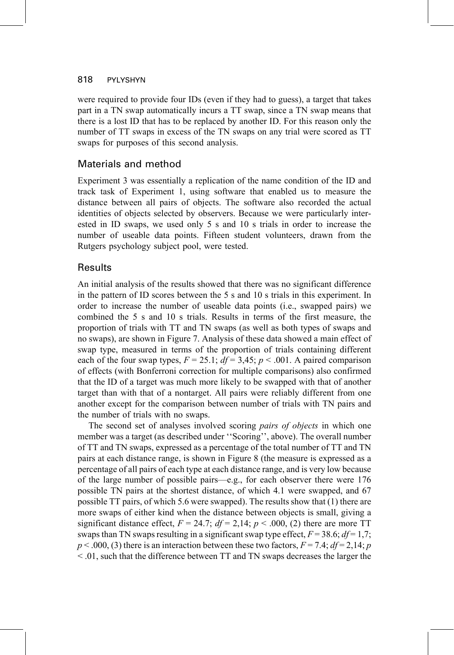were required to provide four IDs (even if they had to guess), a target that takes part in a TN swap automatically incurs a TT swap, since a TN swap means that there is a lost ID that has to be replaced by another ID. For this reason only the number of TT swaps in excess of the TN swaps on any trial were scored as TT swaps for purposes of this second analysis.

### Materials and method

Experiment 3 was essentially a replication of the name condition of the ID and track task of Experiment 1, using software that enabled us to measure the distance between all pairs of objects. The software also recorded the actual identities of objects selected by observers. Because we were particularly interested in ID swaps, we used only 5 s and 10 s trials in order to increase the number of useable data points. Fifteen student volunteers, drawn from the Rutgers psychology subject pool, were tested.

### **Results**

An initial analysis of the results showed that there was no significant difference in the pattern of ID scores between the 5 s and 10 s trials in this experiment. In order to increase the number of useable data points (i.e., swapped pairs) we combined the 5 s and 10 s trials. Results in terms of the first measure, the proportion of trials with TT and TN swaps (as well as both types of swaps and no swaps), are shown in Figure 7. Analysis of these data showed a main effect of swap type, measured in terms of the proportion of trials containing different each of the four swap types,  $F = 25.1$ ;  $df = 3.45$ ;  $p < .001$ . A paired comparison of effects (with Bonferroni correction for multiple comparisons) also confirmed that the ID of a target was much more likely to be swapped with that of another target than with that of a nontarget. All pairs were reliably different from one another except for the comparison between number of trials with TN pairs and the number of trials with no swaps.

The second set of analyses involved scoring pairs of objects in which one member was a target (as described under "Scoring", above). The overall number of TT and TN swaps, expressed as a percentage of the total number of TT and TN pairs at each distance range, is shown in Figure 8 (the measure is expressed as a percentage of all pairs of each type at each distance range, and is very low because of the large number of possible pairs—e.g., for each observer there were  $176$ possible TN pairs at the shortest distance, of which 4.1 were swapped, and 67 possible TT pairs, of which 5.6 were swapped). The results show that (1) there are more swaps of either kind when the distance between objects is small, giving a significant distance effect,  $F = 24.7$ ;  $df = 2,14$ ;  $p < .000$ , (2) there are more TT swaps than TN swaps resulting in a significant swap type effect,  $F = 38.6$ ;  $df = 1.7$ ;  $p < .000$ , (3) there is an interaction between these two factors,  $F = 7.4$ ;  $df = 2.14$ ; p  $\leq$  0.01, such that the difference between TT and TN swaps decreases the larger the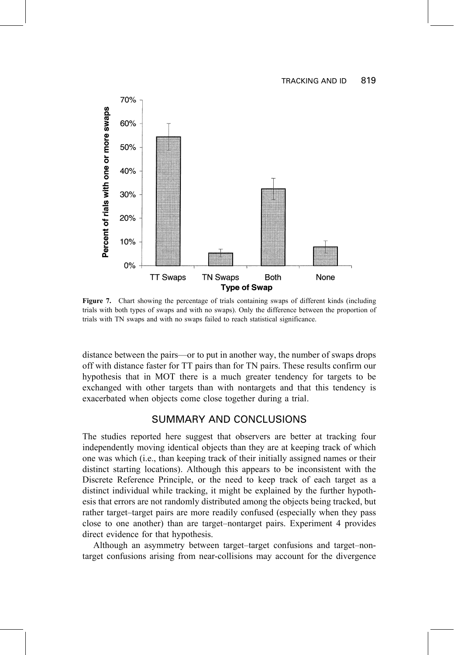

Figure 7. Chart showing the percentage of trials containing swaps of different kinds (including trials with both types of swaps and with no swaps). Only the difference between the proportion of trials with TN swaps and with no swaps failed to reach statistical significance.

distance between the pairs—or to put in another way, the number of swaps drops off with distance faster for TT pairs than for TN pairs. These results confirm our hypothesis that in MOT there is a much greater tendency for targets to be exchanged with other targets than with nontargets and that this tendency is exacerbated when objects come close together during a trial.

# SUMMARY AND CONCLUSIONS

The studies reported here suggest that observers are better at tracking four independently moving identical objects than they are at keeping track of which one was which (i.e., than keeping track of their initially assigned names or their distinct starting locations). Although this appears to be inconsistent with the Discrete Reference Principle, or the need to keep track of each target as a distinct individual while tracking, it might be explained by the further hypothesis that errors are not randomly distributed among the objects being tracked, but rather target-target pairs are more readily confused (especially when they pass close to one another) than are target-nontarget pairs. Experiment 4 provides direct evidence for that hypothesis.

Although an asymmetry between target-target confusions and target-nontarget confusions arising from near-collisions may account for the divergence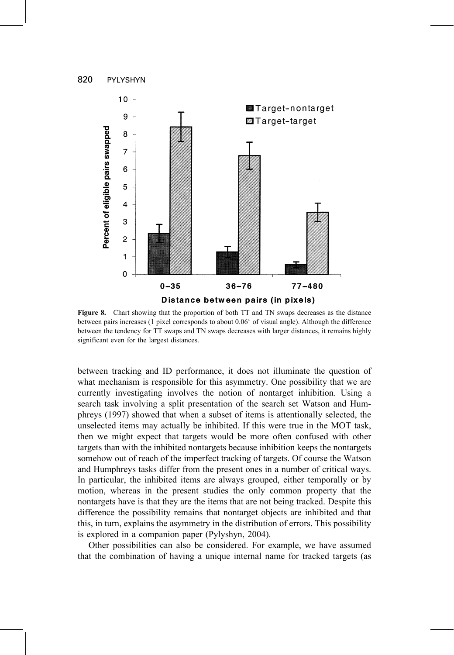

Figure 8. Chart showing that the proportion of both TT and TN swaps decreases as the distance between pairs increases (1 pixel corresponds to about 0.06° of visual angle). Although the difference between the tendency for TT swaps and TN swaps decreases with larger distances, it remains highly significant even for the largest distances.

between tracking and ID performance, it does not illuminate the question of what mechanism is responsible for this asymmetry. One possibility that we are currently investigating involves the notion of nontarget inhibition. Using a search task involving a split presentation of the search set Watson and Humphreys (1997) showed that when a subset of items is attentionally selected, the unselected items may actually be inhibited. If this were true in the MOT task, then we might expect that targets would be more often confused with other targets than with the inhibited nontargets because inhibition keeps the nontargets somehow out of reach of the imperfect tracking of targets. Of course the Watson and Humphreys tasks differ from the present ones in a number of critical ways. In particular, the inhibited items are always grouped, either temporally or by motion, whereas in the present studies the only common property that the nontargets have is that they are the items that are not being tracked. Despite this difference the possibility remains that nontarget objects are inhibited and that this, in turn, explains the asymmetry in the distribution of errors. This possibility is explored in a companion paper (Pylyshyn, 2004).

Other possibilities can also be considered. For example, we have assumed that the combination of having a unique internal name for tracked targets (as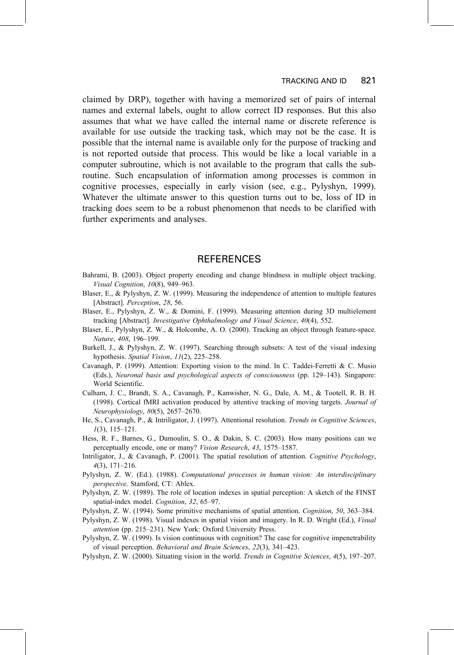#### **TRACKING AND ID** 821

claimed by DRP), together with having a memorized set of pairs of internal names and external labels, ought to allow correct ID responses. But this also assumes that what we have called the internal name or discrete reference is available for use outside the tracking task, which may not be the case. It is possible that the internal name is available only for the purpose of tracking and is not reported outside that process. This would be like a local variable in a computer subroutine, which is not available to the program that calls the subroutine. Such encapsulation of information among processes is common in cognitive processes, especially in early vision (see, e.g., Pylyshyn, 1999). Whatever the ultimate answer to this question turns out to be, loss of ID in tracking does seem to be a robust phenomenon that needs to be clarified with further experiments and analyses.

### **REFERENCES**

- Bahrami, B. (2003). Object property encoding and change blindness in multiple object tracking. Visual Cognition, 10(8), 949-963.
- Blaser, E., & Pylyshyn, Z. W. (1999). Measuring the independence of attention to multiple features [Abstract]. Perception, 28, 56.
- Blaser, E., Pylyshyn, Z. W., & Domini, F. (1999). Measuring attention during 3D multielement tracking [Abstract]. Investigative Ophthalmology and Visual Science, 40(4), 552.
- Blaser, E., Pylyshyn, Z. W., & Holcombe, A. O. (2000). Tracking an object through feature-space. Nature, 408, 196-199.
- Burkell, J., & Pylyshyn, Z. W. (1997). Searching through subsets: A test of the visual indexing hypothesis. Spatial Vision, 11(2), 225-258.
- Cavanagh, P. (1999). Attention: Exporting vision to the mind. In C. Taddei-Ferretti & C. Musio (Eds.), Neuronal basis and psychological aspects of consciousness (pp. 129-143). Singapore: World Scientific.
- Culham, J. C., Brandt, S. A., Cavanagh, P., Kanwisher, N. G., Dale, A. M., & Tootell, R. B. H. (1998). Cortical fMRI activation produced by attentive tracking of moving targets. Journal of Neurophysiology, 80(5), 2657-2670.
- He, S., Cavanagh, P., & Intriligator, J. (1997). Attentional resolution. Trends in Cognitive Sciences,  $1(3)$ , 115-121.
- Hess, R. F., Barnes, G., Dumoulin, S. O., & Dakin, S. C. (2003). How many positions can we perceptually encode, one or many? Vision Research, 43, 1575-1587.
- Intriligator, J., & Cavanagh, P. (2001). The spatial resolution of attention. Cognitive Psychology,  $4(3), 171 - 216.$
- Pylyshyn, Z. W. (Ed.). (1988). Computational processes in human vision: An interdisciplinary perspective. Stamford, CT: Ablex.
- Pylyshyn, Z. W. (1989). The role of location indexes in spatial perception: A sketch of the FINST spatial-index model. Cognition, 32, 65-97.
- Pylyshyn, Z. W. (1994). Some primitive mechanisms of spatial attention. Cognition, 50, 363-384.
- Pylyshyn, Z. W. (1998). Visual indexes in spatial vision and imagery. In R. D. Wright (Ed.), Visual attention (pp. 215-231). New York: Oxford University Press.
- Pylyshyn, Z. W. (1999). Is vision continuous with cognition? The case for cognitive impenetrability of visual perception. Behavioral and Brain Sciences, 22(3), 341-423.
- Pylyshyn, Z. W. (2000). Situating vision in the world. Trends in Cognitive Sciences, 4(5), 197-207.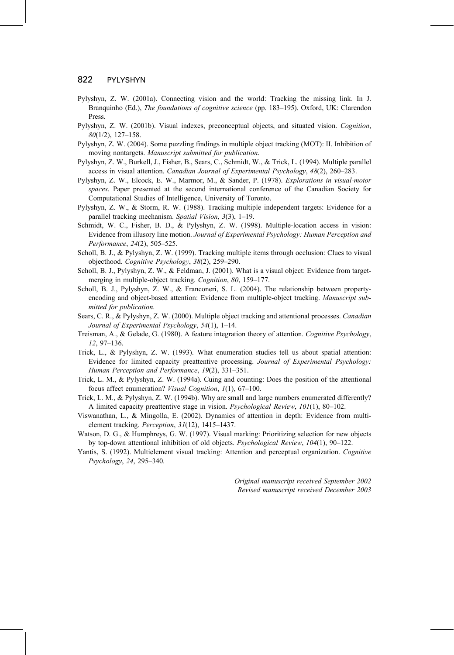- Pylyshyn, Z. W. (2001a). Connecting vision and the world: Tracking the missing link. In J. Branquinho (Ed.), The foundations of cognitive science (pp. 183-195). Oxford, UK: Clarendon Press.
- Pylyshyn, Z. W. (2001b). Visual indexes, preconceptual objects, and situated vision. Cognition,  $80(1/2)$ , 127-158
- Pylyshyn, Z. W. (2004). Some puzzling findings in multiple object tracking (MOT): II. Inhibition of moving nontargets. Manuscript submitted for publication.
- Pylyshyn, Z. W., Burkell, J., Fisher, B., Sears, C., Schmidt, W., & Trick, L. (1994). Multiple parallel access in visual attention. Canadian Journal of Experimental Psychology, 48(2), 260-283.
- Pylyshyn, Z. W., Elcock, E. W., Marmor, M., & Sander, P. (1978). Explorations in visual-motor spaces. Paper presented at the second international conference of the Canadian Society for Computational Studies of Intelligence, University of Toronto.
- Pylyshyn, Z. W., & Storm, R. W. (1988). Tracking multiple independent targets: Evidence for a parallel tracking mechanism. Spatial Vision, 3(3), 1-19.
- Schmidt, W. C., Fisher, B. D., & Pylyshyn, Z. W. (1998). Multiple-location access in vision: Evidence from illusory line motion. Journal of Experimental Psychology: Human Perception and Performance, 24(2), 505-525.
- Scholl, B. J., & Pylyshyn, Z. W. (1999). Tracking multiple items through occlusion: Clues to visual objecthood. Cognitive Psychology, 38(2), 259–290.
- Scholl, B. J., Pylyshyn, Z. W., & Feldman, J. (2001). What is a visual object: Evidence from targetmerging in multiple-object tracking. Cognition, 80, 159-177.
- Scholl, B. J., Pylyshyn, Z. W., & Franconeri, S. L. (2004). The relationship between propertyencoding and object-based attention: Evidence from multiple-object tracking. Manuscript submitted for publication.
- Sears, C. R., & Pylyshyn, Z. W. (2000). Multiple object tracking and attentional processes. Canadian Journal of Experimental Psychology, 54(1), 1-14.
- Treisman, A., & Gelade, G. (1980). A feature integration theory of attention. Cognitive Psychology,  $12, 97 - 136.$
- Trick, L., & Pylyshyn, Z. W. (1993). What enumeration studies tell us about spatial attention: Evidence for limited capacity preattentive processing. Journal of Experimental Psychology: Human Perception and Performance, 19(2), 331-351.
- Trick, L. M., & Pylyshyn, Z. W. (1994a). Cuing and counting: Does the position of the attentional focus affect enumeration? Visual Cognition, 1(1), 67-100.
- Trick, L. M., & Pylyshyn, Z. W. (1994b). Why are small and large numbers enumerated differently? A limited capacity preattentive stage in vision. Psychological Review, 101(1), 80-102.
- Viswanathan, L., & Mingolla, E. (2002). Dynamics of attention in depth: Evidence from multielement tracking. Perception, 31(12), 1415-1437.
- Watson, D. G., & Humphreys, G. W. (1997). Visual marking: Prioritizing selection for new objects by top-down attentional inhibition of old objects. Psychological Review, 104(1), 90-122.
- Yantis, S. (1992). Multielement visual tracking: Attention and perceptual organization. Cognitive Psychology, 24, 295-340.

Original manuscript received September 2002 Revised manuscript received December 2003